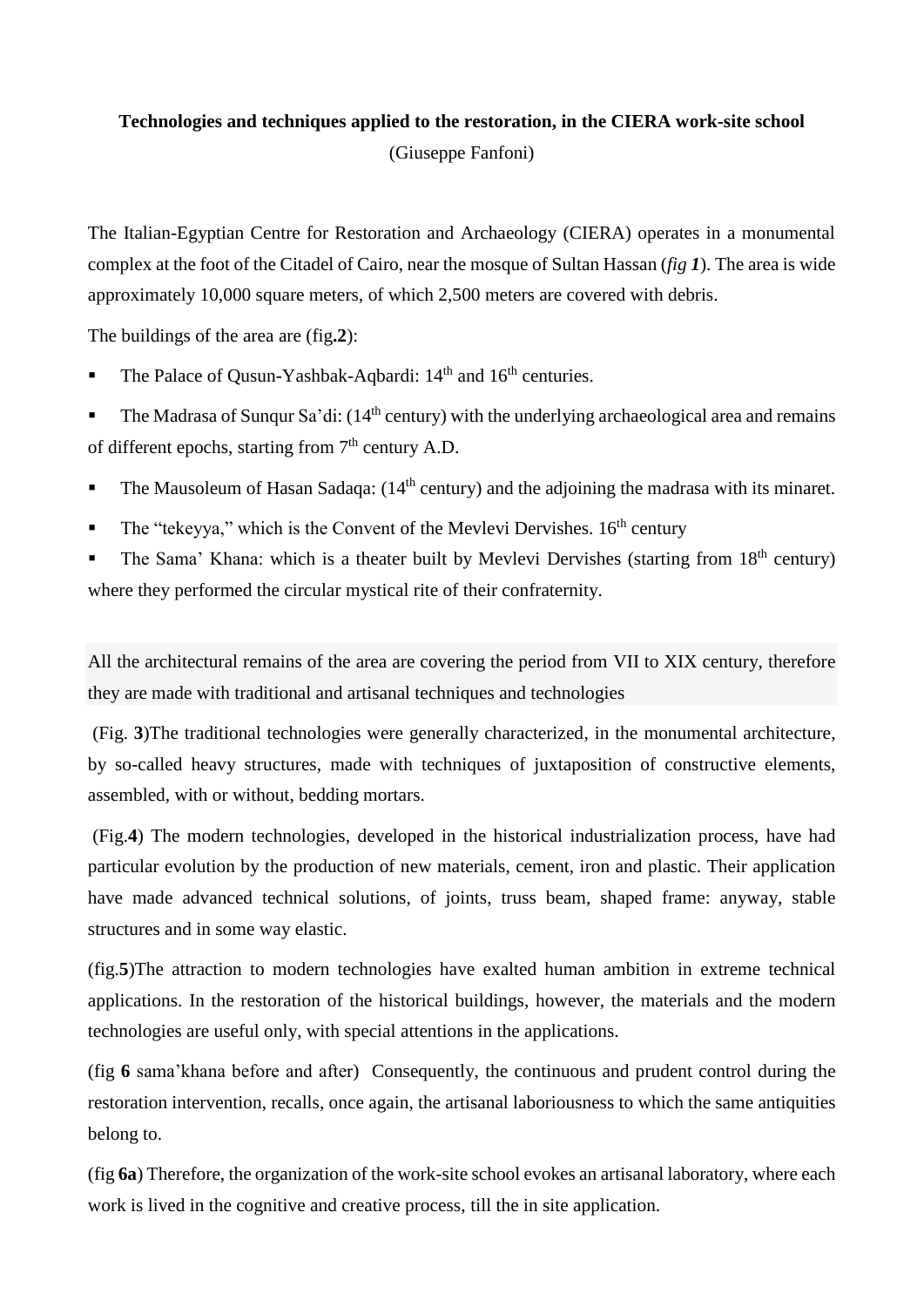# **Technologies and techniques applied to the restoration, in the CIERA work-site school** (Giuseppe Fanfoni)

The Italian-Egyptian Centre for Restoration and Archaeology (CIERA) operates in a monumental complex at the foot of the Citadel of Cairo, near the mosque of Sultan Hassan (*fig 1*). The area is wide approximately 10,000 square meters, of which 2,500 meters are covered with debris.

The buildings of the area are (fig**.2**):

The Palace of Qusun-Yashbak-Aqbardi: 14<sup>th</sup> and 16<sup>th</sup> centuries.

The Madrasa of Sungur Sa'di:  $(14<sup>th</sup>$  century) with the underlying archaeological area and remains of different epochs, starting from  $7<sup>th</sup>$  century A.D.

- The Mausoleum of Hasan Sadaqa:  $(14<sup>th</sup>$  century) and the adjoining the madrasa with its minaret.
- The "tekeyya," which is the Convent of the Mevlevi Dervishes. 16<sup>th</sup> century

The Sama' Khana: which is a theater built by Mevlevi Dervishes (starting from  $18<sup>th</sup>$  century) where they performed the circular mystical rite of their confraternity.

All the architectural remains of the area are covering the period from VII to XIX century, therefore they are made with traditional and artisanal techniques and technologies

(Fig. **3**)The traditional technologies were generally characterized, in the monumental architecture, by so-called heavy structures, made with techniques of juxtaposition of constructive elements, assembled, with or without, bedding mortars.

(Fig.**4**) The modern technologies, developed in the historical industrialization process, have had particular evolution by the production of new materials, cement, iron and plastic. Their application have made advanced technical solutions, of joints, truss beam, shaped frame: anyway, stable structures and in some way elastic.

(fig.**5**)The attraction to modern technologies have exalted human ambition in extreme technical applications. In the restoration of the historical buildings, however, the materials and the modern technologies are useful only, with special attentions in the applications.

(fig **6** sama'khana before and after) Consequently, the continuous and prudent control during the restoration intervention, recalls, once again, the artisanal laboriousness to which the same antiquities belong to.

(fig **6a**) Therefore, the organization of the work-site school evokes an artisanal laboratory, where each work is lived in the cognitive and creative process, till the in site application.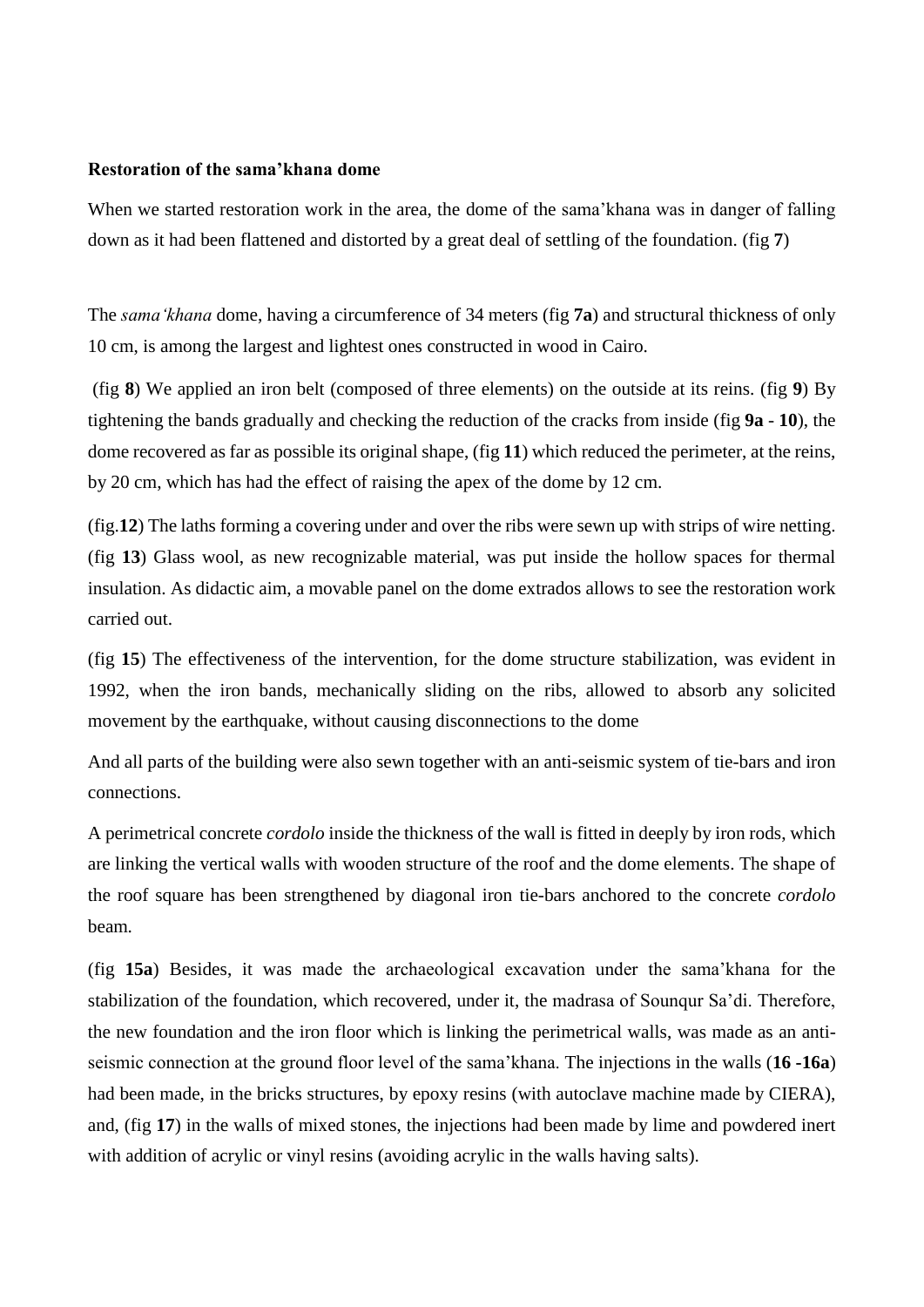## **Restoration of the sama'khana dome**

When we started restoration work in the area, the dome of the sama'khana was in danger of falling down as it had been flattened and distorted by a great deal of settling of the foundation. (fig **7**)

The *sama'khana* dome, having a circumference of 34 meters (fig **7a**) and structural thickness of only 10 cm, is among the largest and lightest ones constructed in wood in Cairo.

(fig **8**) We applied an iron belt (composed of three elements) on the outside at its reins. (fig **9**) By tightening the bands gradually and checking the reduction of the cracks from inside (fig **9a** - **10**), the dome recovered as far as possible its original shape, (fig **11**) which reduced the perimeter, at the reins, by 20 cm, which has had the effect of raising the apex of the dome by 12 cm.

(fig.**12**) The laths forming a covering under and over the ribs were sewn up with strips of wire netting. (fig **13**) Glass wool, as new recognizable material, was put inside the hollow spaces for thermal insulation. As didactic aim, a movable panel on the dome extrados allows to see the restoration work carried out.

(fig **15**) The effectiveness of the intervention, for the dome structure stabilization, was evident in 1992, when the iron bands, mechanically sliding on the ribs, allowed to absorb any solicited movement by the earthquake, without causing disconnections to the dome

And all parts of the building were also sewn together with an anti-seismic system of tie-bars and iron connections.

A perimetrical concrete *cordolo* inside the thickness of the wall is fitted in deeply by iron rods, which are linking the vertical walls with wooden structure of the roof and the dome elements. The shape of the roof square has been strengthened by diagonal iron tie-bars anchored to the concrete *cordolo* beam*.*

(fig **15a**) Besides, it was made the archaeological excavation under the sama'khana for the stabilization of the foundation, which recovered, under it, the madrasa of Sounqur Sa'di. Therefore, the new foundation and the iron floor which is linking the perimetrical walls, was made as an antiseismic connection at the ground floor level of the sama'khana. The injections in the walls (**16 -16a**) had been made, in the bricks structures, by epoxy resins (with autoclave machine made by CIERA), and, (fig **17**) in the walls of mixed stones, the injections had been made by lime and powdered inert with addition of acrylic or vinyl resins (avoiding acrylic in the walls having salts).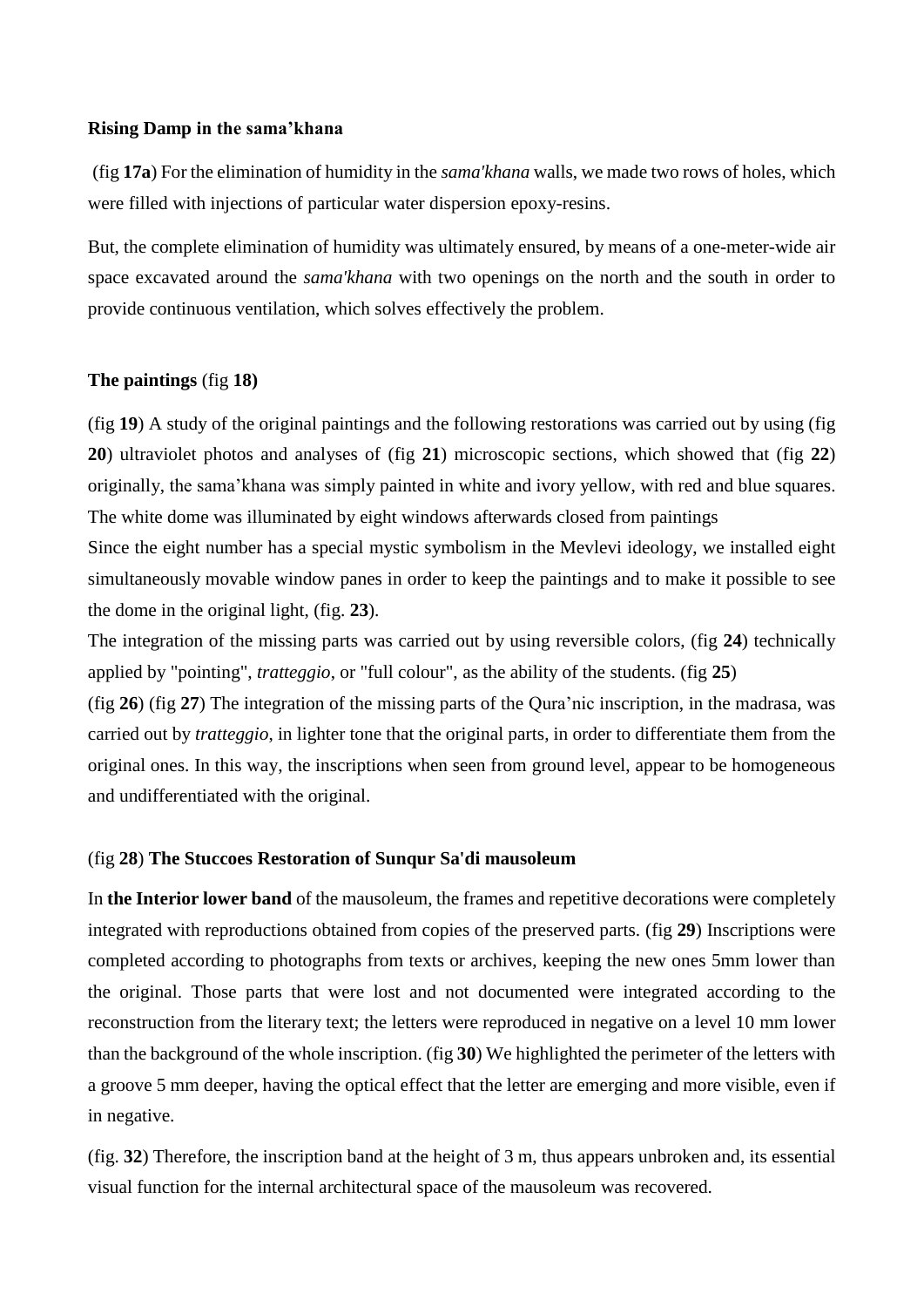#### **Rising Damp in the sama'khana**

(fig **17a**) For the elimination of humidity in the *sama'khana* walls, we made two rows of holes, which were filled with injections of particular water dispersion epoxy-resins.

But, the complete elimination of humidity was ultimately ensured, by means of a one-meter-wide air space excavated around the *sama'khana* with two openings on the north and the south in order to provide continuous ventilation, which solves effectively the problem.

# **The paintings** (fig **18)**

(fig **19**) A study of the original paintings and the following restorations was carried out by using (fig **20**) ultraviolet photos and analyses of (fig **21**) microscopic sections, which showed that (fig **22**) originally, the sama'khana was simply painted in white and ivory yellow, with red and blue squares. The white dome was illuminated by eight windows afterwards closed from paintings

Since the eight number has a special mystic symbolism in the Mevlevi ideology, we installed eight simultaneously movable window panes in order to keep the paintings and to make it possible to see the dome in the original light, (fig. **23**).

The integration of the missing parts was carried out by using reversible colors, (fig **24**) technically applied by "pointing", *tratteggio*, or "full colour", as the ability of the students. (fig **25**)

(fig **26**) (fig **27**) The integration of the missing parts of the Qura'nic inscription, in the madrasa, was carried out by *tratteggio*, in lighter tone that the original parts, in order to differentiate them from the original ones. In this way, the inscriptions when seen from ground level, appear to be homogeneous and undifferentiated with the original.

## (fig **28**) **The Stuccoes Restoration of Sunqur Sa'di mausoleum**

In **the Interior lower band** of the mausoleum, the frames and repetitive decorations were completely integrated with reproductions obtained from copies of the preserved parts. (fig **29**) Inscriptions were completed according to photographs from texts or archives, keeping the new ones 5mm lower than the original. Those parts that were lost and not documented were integrated according to the reconstruction from the literary text; the letters were reproduced in negative on a level 10 mm lower than the background of the whole inscription. (fig **30**) We highlighted the perimeter of the letters with a groove 5 mm deeper, having the optical effect that the letter are emerging and more visible, even if in negative.

(fig. **32**) Therefore, the inscription band at the height of 3 m, thus appears unbroken and, its essential visual function for the internal architectural space of the mausoleum was recovered.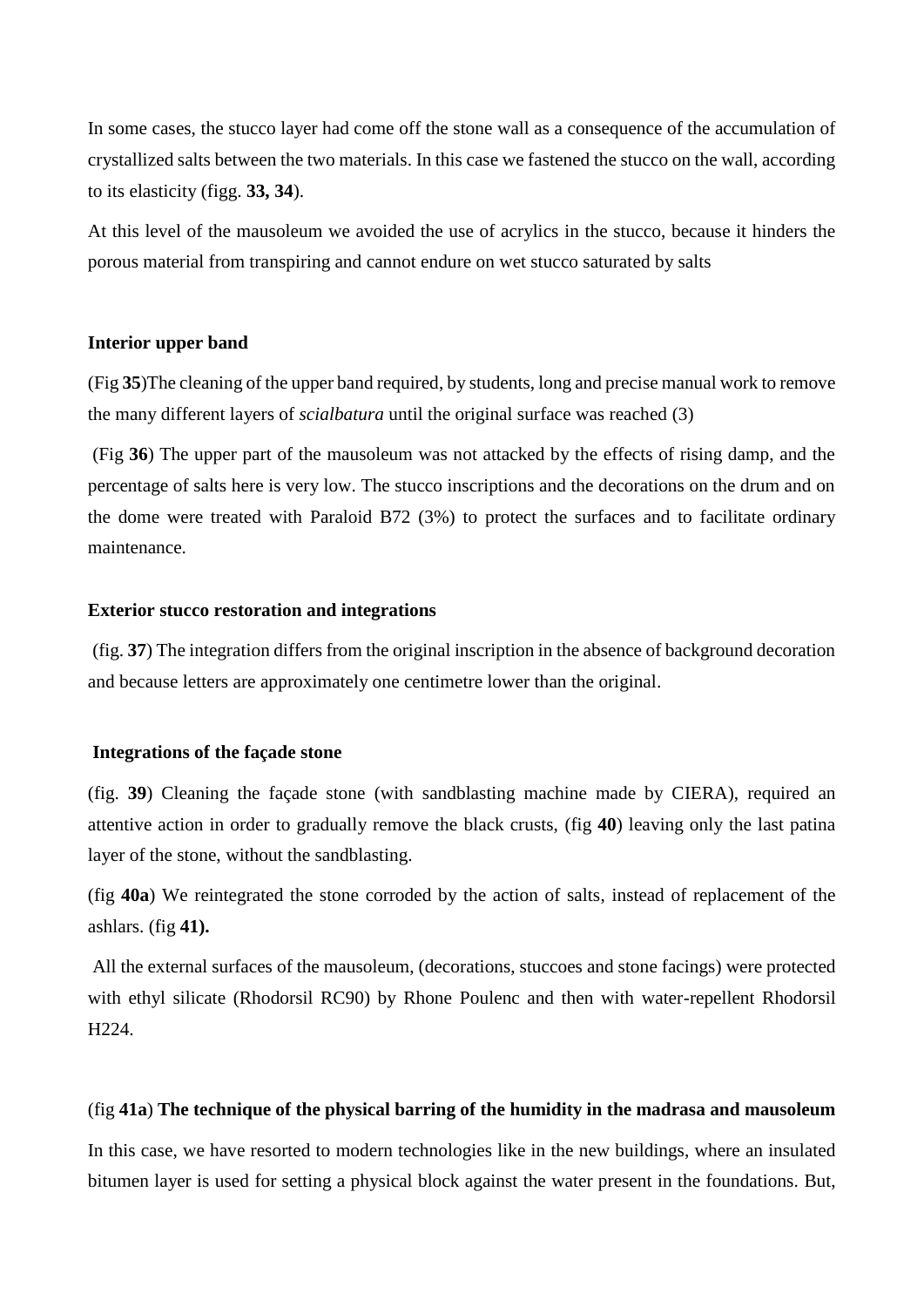In some cases, the stucco layer had come off the stone wall as a consequence of the accumulation of crystallized salts between the two materials. In this case we fastened the stucco on the wall, according to its elasticity (figg. **33, 34**).

At this level of the mausoleum we avoided the use of acrylics in the stucco, because it hinders the porous material from transpiring and cannot endure on wet stucco saturated by salts

## **Interior upper band**

(Fig **35**)The cleaning of the upper band required, by students, long and precise manual work to remove the many different layers of *scialbatura* until the original surface was reached (3)

(Fig **36**) The upper part of the mausoleum was not attacked by the effects of rising damp, and the percentage of salts here is very low. The stucco inscriptions and the decorations on the drum and on the dome were treated with Paraloid B72 (3%) to protect the surfaces and to facilitate ordinary maintenance.

## **Exterior stucco restoration and integrations**

(fig. **37**) The integration differs from the original inscription in the absence of background decoration and because letters are approximately one centimetre lower than the original.

#### **Integrations of the façade stone**

(fig. **39**) Cleaning the façade stone (with sandblasting machine made by CIERA), required an attentive action in order to gradually remove the black crusts, (fig **40**) leaving only the last patina layer of the stone, without the sandblasting.

(fig **40a**) We reintegrated the stone corroded by the action of salts, instead of replacement of the ashlars. (fig **41).**

All the external surfaces of the mausoleum, (decorations, stuccoes and stone facings) were protected with ethyl silicate (Rhodorsil RC90) by Rhone Poulenc and then with water-repellent Rhodorsil H224.

## (fig **41a**) **The technique of the physical barring of the humidity in the madrasa and mausoleum**

In this case, we have resorted to modern technologies like in the new buildings, where an insulated bitumen layer is used for setting a physical block against the water present in the foundations. But,